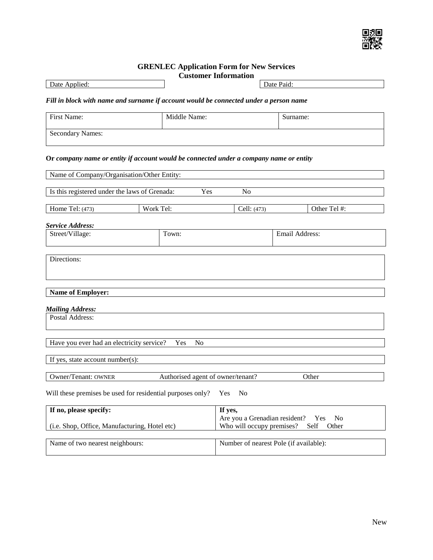

# **GRENLEC Application Form for New Services**

|                                                                                        |                 |                                   | <b>Customer Information</b>              |                |  |
|----------------------------------------------------------------------------------------|-----------------|-----------------------------------|------------------------------------------|----------------|--|
| Date Applied:                                                                          |                 |                                   |                                          | Date Paid:     |  |
| Fill in block with name and surname if account would be connected under a person name  |                 |                                   |                                          |                |  |
| First Name:                                                                            |                 | Middle Name:                      |                                          | Surname:       |  |
| <b>Secondary Names:</b>                                                                |                 |                                   |                                          |                |  |
| Or company name or entity if account would be connected under a company name or entity |                 |                                   |                                          |                |  |
| Name of Company/Organisation/Other Entity:                                             |                 |                                   |                                          |                |  |
| Is this registered under the laws of Grenada:                                          |                 | Yes                               | N <sub>0</sub>                           |                |  |
| Home Tel: (473)                                                                        | Work Tel:       |                                   | Cell: (473)                              | Other Tel #:   |  |
| <b>Service Address:</b>                                                                |                 | Town:                             |                                          |                |  |
|                                                                                        | Street/Village: |                                   |                                          | Email Address: |  |
| Directions:                                                                            |                 |                                   |                                          |                |  |
| <b>Name of Employer:</b>                                                               |                 |                                   |                                          |                |  |
| <b>Mailing Address:</b>                                                                |                 |                                   |                                          |                |  |
| Postal Address:                                                                        |                 |                                   |                                          |                |  |
| Have you ever had an electricity service?                                              |                 | Yes<br>N <sub>0</sub>             |                                          |                |  |
| If yes, state account number(s):                                                       |                 |                                   |                                          |                |  |
| Owner/Tenant: OWNER                                                                    |                 | Authorised agent of owner/tenant? |                                          | Other          |  |
| Will these premises be used for residential purposes only?                             |                 |                                   | N <sub>o</sub><br>Yes                    |                |  |
| If no, please specify:                                                                 |                 |                                   | If yes,<br>Are you a Grenadian resident? | No<br>Yes      |  |
| (i.e. Shop, Office, Manufacturing, Hotel etc)                                          |                 |                                   | Who will occupy premises?                | Self<br>Other  |  |
| Name of two nearest neighbours:                                                        |                 |                                   | Number of nearest Pole (if available):   |                |  |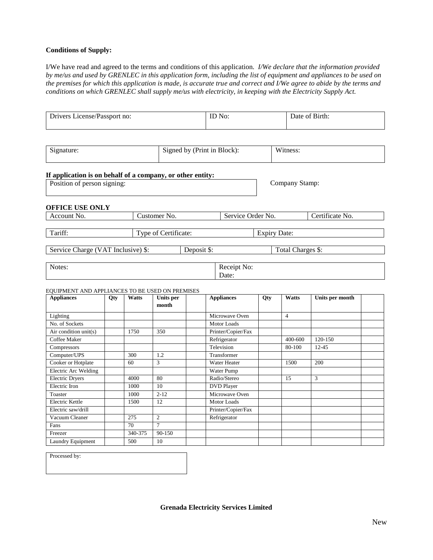## **Conditions of Supply:**

I/We have read and agreed to the terms and conditions of this application. *I/We declare that the information provided by me/us and used by GRENLEC in this application form, including the list of equipment and appliances to be used on the premises for which this application is made, is accurate true and correct and I/We agree to abide by the terms and conditions on which GRENLEC shall supply me/us with electricity, in keeping with the Electricity Supply Act.*

| Drivers License/Passport no:                                         |            |         |                      | ID No:                      |                      |                     | Date of Birth:    |                 |  |
|----------------------------------------------------------------------|------------|---------|----------------------|-----------------------------|----------------------|---------------------|-------------------|-----------------|--|
| Signature:                                                           |            |         |                      | Signed by (Print in Block): |                      | Witness:            |                   |                 |  |
| If application is on behalf of a company, or other entity:           |            |         |                      |                             |                      |                     |                   |                 |  |
| Position of person signing:                                          |            |         |                      |                             |                      | Company Stamp:      |                   |                 |  |
| <b>OFFICE USE ONLY</b>                                               |            |         |                      |                             |                      |                     |                   |                 |  |
| Customer No.<br>Account No.                                          |            |         |                      | Service Order No.           |                      |                     |                   | Certificate No. |  |
|                                                                      |            |         |                      |                             |                      |                     |                   |                 |  |
| Tariff:                                                              |            |         | Type of Certificate: |                             |                      | <b>Expiry Date:</b> |                   |                 |  |
| Service Charge (VAT Inclusive) \$:                                   |            |         |                      | Deposit \$:                 |                      |                     | Total Charges \$: |                 |  |
|                                                                      |            |         |                      |                             |                      |                     |                   |                 |  |
| Notes:                                                               |            |         |                      |                             | Receipt No:<br>Date: |                     |                   |                 |  |
|                                                                      |            |         |                      |                             |                      |                     |                   |                 |  |
|                                                                      |            |         |                      |                             |                      |                     |                   |                 |  |
| EQUIPMENT AND APPLIANCES TO BE USED ON PREMISES<br><b>Appliances</b> | <b>Oty</b> | Watts   | Units per<br>month   |                             | <b>Appliances</b>    | <b>Oty</b>          | Watts             | Units per month |  |
| Lighting                                                             |            |         |                      |                             | Microwave Oven       |                     | $\overline{4}$    |                 |  |
| No. of Sockets                                                       |            |         |                      |                             | Motor Loads          |                     |                   |                 |  |
| Air condition unit(s)                                                |            | 1750    | 350                  |                             | Printer/Copier/Fax   |                     |                   |                 |  |
| Coffee Maker                                                         |            |         |                      |                             | Refrigerator         |                     | 400-600           | 120-150         |  |
| Compressors                                                          |            |         |                      |                             | Television           |                     | 80-100            | $12 - 45$       |  |
| Computer/UPS                                                         |            | 300     | 1.2                  |                             | Transformer          |                     |                   |                 |  |
| Cooker or Hotplate                                                   |            | 60      | 3                    |                             | Water Heater         |                     | 1500              | 200             |  |
| <b>Electric Arc Welding</b>                                          |            |         |                      |                             | Water Pump           |                     |                   |                 |  |
| <b>Electric Dryers</b>                                               |            | 4000    | 80                   |                             | Radio/Stereo         |                     | 15                | 3               |  |
| Electric Iron                                                        |            | 1000    | 10                   |                             | <b>DVD</b> Player    |                     |                   |                 |  |
| Toaster                                                              |            | 1000    | $2 - 12$             |                             | Microwave Oven       |                     |                   |                 |  |
| <b>Electric Kettle</b>                                               |            | 1500    | 12                   |                             | Motor Loads          |                     |                   |                 |  |
| Electric saw/drill                                                   |            |         |                      |                             | Printer/Copier/Fax   |                     |                   |                 |  |
| Vacuum Cleaner                                                       |            | 275     | $\overline{2}$       |                             | Refrigerator         |                     |                   |                 |  |
| Fans                                                                 |            | 70      | $\tau$               |                             |                      |                     |                   |                 |  |
| Freezer<br>Laundry Equipment                                         |            | 340-375 | 90-150               |                             |                      |                     |                   |                 |  |

| Processed by: |  |  |
|---------------|--|--|
|               |  |  |
|               |  |  |

**Grenada Electricity Services Limited**